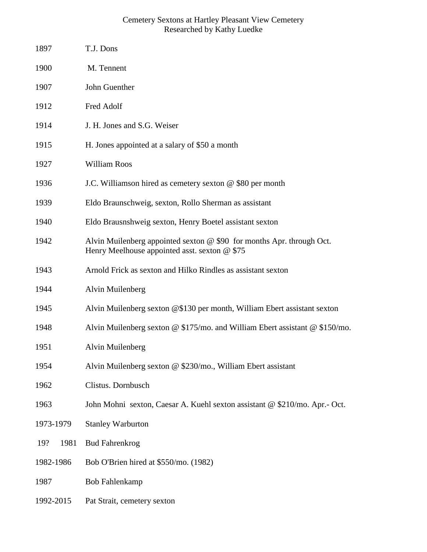## Cemetery Sextons at Hartley Pleasant View Cemetery Researched by Kathy Luedke

| 1897        | T.J. Dons                                                                                                                |
|-------------|--------------------------------------------------------------------------------------------------------------------------|
| 1900        | M. Tennent                                                                                                               |
| 1907        | John Guenther                                                                                                            |
| 1912        | Fred Adolf                                                                                                               |
| 1914        | J. H. Jones and S.G. Weiser                                                                                              |
| 1915        | H. Jones appointed at a salary of \$50 a month                                                                           |
| 1927        | William Roos                                                                                                             |
| 1936        | J.C. Williamson hired as cemetery sexton @ \$80 per month                                                                |
| 1939        | Eldo Braunschweig, sexton, Rollo Sherman as assistant                                                                    |
| 1940        | Eldo Brausnshweig sexton, Henry Boetel assistant sexton                                                                  |
| 1942        | Alvin Muilenberg appointed sexton $@$ \$90 for months Apr. through Oct.<br>Henry Meelhouse appointed asst. sexton @ \$75 |
| 1943        | Arnold Frick as sexton and Hilko Rindles as assistant sexton                                                             |
| 1944        | Alvin Muilenberg                                                                                                         |
| 1945        | Alvin Muilenberg sexton @\$130 per month, William Ebert assistant sexton                                                 |
| 1948        | Alvin Muilenberg sexton @ \$175/mo. and William Ebert assistant @ \$150/mo.                                              |
| 1951        | Alvin Muilenberg                                                                                                         |
| 1954        | Alvin Muilenberg sexton @ \$230/mo., William Ebert assistant                                                             |
| 1962        | Clistus. Dornbusch                                                                                                       |
| 1963        | John Mohni sexton, Caesar A. Kuehl sexton assistant @ \$210/mo. Apr.- Oct.                                               |
| 1973-1979   | <b>Stanley Warburton</b>                                                                                                 |
| 1981<br>19? | <b>Bud Fahrenkrog</b>                                                                                                    |
| 1982-1986   | Bob O'Brien hired at \$550/mo. (1982)                                                                                    |
| 1987        | <b>Bob Fahlenkamp</b>                                                                                                    |
| 1992-2015   | Pat Strait, cemetery sexton                                                                                              |